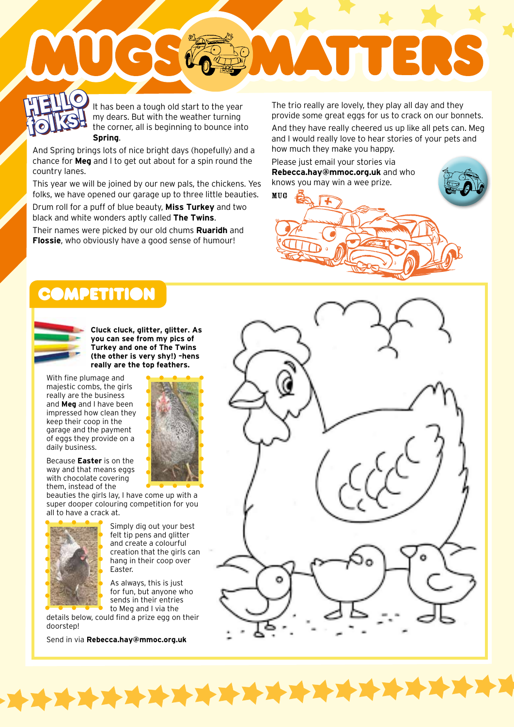### **HELLO** It **folks! HELLO**

It has been a tough old start to the year my dears. But with the weather turning the corner, all is beginning to bounce into **Spring**. **folks in the seems a tough old start to the year** The trio really are lovely, they play all day and they my dears. But with the weather turning movide some great eggs for us to crack on our bon the corner, all is beginnin

And Spring brings lots of nice bright days (hopefully) and a chance for **Meg** and I to get out about for a spin round the country lanes.

This year we will be joined by our new pals, the chickens. Yes folks, we have opened our garage up to three little beauties.

Drum roll for a puff of blue beauty, **Miss Turkey** and two black and white wonders aptly called **The Twins**.

Their names were picked by our old chums **Ruaridh** and **Flossie**, who obviously have a good sense of humour!

provide some great eggs for us to crack on our bonnets.

ELK

And they have really cheered us up like all pets can. Meg and I would really love to hear stories of your pets and how much they make you happy.

Please just email your stories via **Rebecca.hay@mmoc.org.uk** and who knows you may win a wee prize.

MUG

## **DMPETITION**



**Cluck cluck, glitter, glitter. As you can see from my pics of Turkey and one of The Twins (the other is very shy!) –hens really are the top feathers.**

With fine plumage and majestic combs, the girls really are the business and **Meg** and I have been impressed how clean they keep their coop in the garage and the payment of eggs they provide on a daily business.



Because **Easter** is on the way and that means eggs with chocolate covering them, instead of the

beauties the girls lay, I have come up with a super dooper colouring competition for you all to have a crack at.



**TAT** 

Simply dig out your best felt tip pens and glitter and create a colourful creation that the girls can hang in their coop over Easter.

As always, this is just for fun, but anyone who sends in their entries to Meg and I via the

XXXXXXXX

details below, could find a prize egg on their doorstep!

Send in via **Rebecca.hay@mmoc.org.uk**



**THEFT**